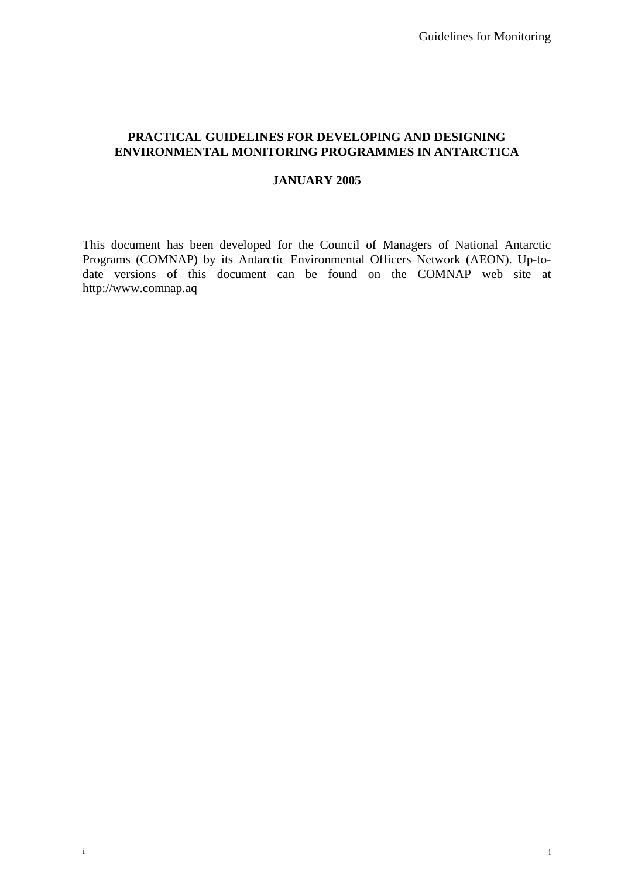### **PRACTICAL GUIDELINES FOR DEVELOPING AND DESIGNING ENVIRONMENTAL MONITORING PROGRAMMES IN ANTARCTICA**

### **JANUARY 2005**

This document has been developed for the Council of Managers of National Antarctic Programs (COMNAP) by its Antarctic Environmental Officers Network (AEON). Up-todate versions of this document can be found on the COMNAP web site at http://www.comnap.aq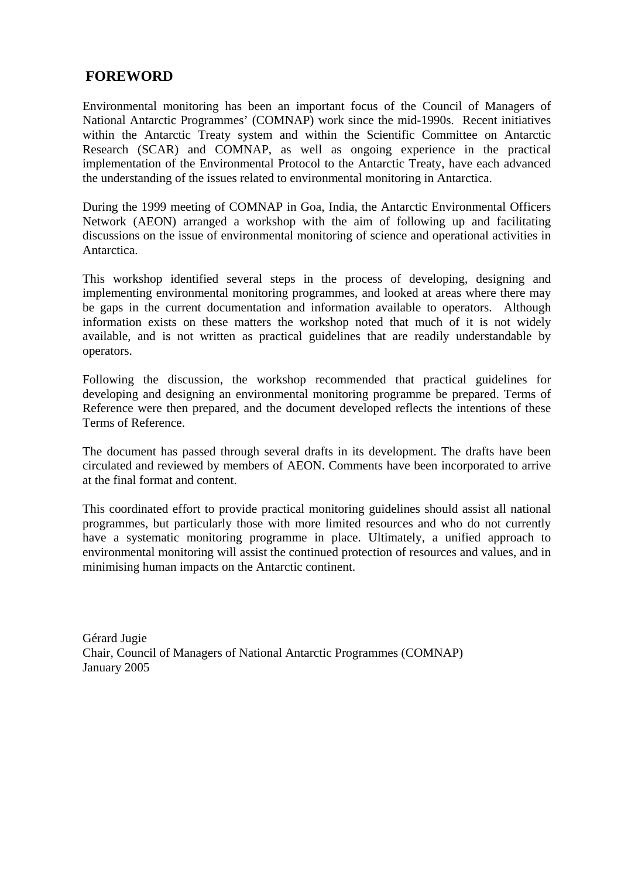# **FOREWORD**

Environmental monitoring has been an important focus of the Council of Managers of National Antarctic Programmes' (COMNAP) work since the mid-1990s. Recent initiatives within the Antarctic Treaty system and within the Scientific Committee on Antarctic Research (SCAR) and COMNAP, as well as ongoing experience in the practical implementation of the Environmental Protocol to the Antarctic Treaty, have each advanced the understanding of the issues related to environmental monitoring in Antarctica.

During the 1999 meeting of COMNAP in Goa, India, the Antarctic Environmental Officers Network (AEON) arranged a workshop with the aim of following up and facilitating discussions on the issue of environmental monitoring of science and operational activities in Antarctica.

This workshop identified several steps in the process of developing, designing and implementing environmental monitoring programmes, and looked at areas where there may be gaps in the current documentation and information available to operators. Although information exists on these matters the workshop noted that much of it is not widely available, and is not written as practical guidelines that are readily understandable by operators.

Following the discussion, the workshop recommended that practical guidelines for developing and designing an environmental monitoring programme be prepared. Terms of Reference were then prepared, and the document developed reflects the intentions of these Terms of Reference.

The document has passed through several drafts in its development. The drafts have been circulated and reviewed by members of AEON. Comments have been incorporated to arrive at the final format and content.

This coordinated effort to provide practical monitoring guidelines should assist all national programmes, but particularly those with more limited resources and who do not currently have a systematic monitoring programme in place. Ultimately, a unified approach to environmental monitoring will assist the continued protection of resources and values, and in minimising human impacts on the Antarctic continent.

Gérard Jugie Chair, Council of Managers of National Antarctic Programmes (COMNAP) January 2005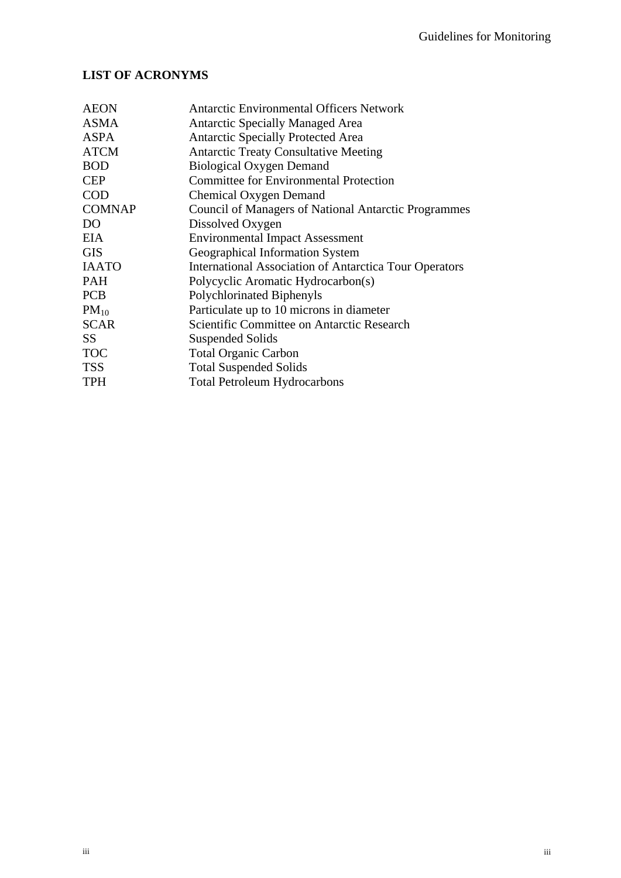## **LIST OF ACRONYMS**

| <b>AEON</b>    | <b>Antarctic Environmental Officers Network</b>               |
|----------------|---------------------------------------------------------------|
| <b>ASMA</b>    | <b>Antarctic Specially Managed Area</b>                       |
| <b>ASPA</b>    | <b>Antarctic Specially Protected Area</b>                     |
| <b>ATCM</b>    | <b>Antarctic Treaty Consultative Meeting</b>                  |
| <b>BOD</b>     | <b>Biological Oxygen Demand</b>                               |
| <b>CEP</b>     | <b>Committee for Environmental Protection</b>                 |
| <b>COD</b>     | Chemical Oxygen Demand                                        |
| <b>COMNAP</b>  | <b>Council of Managers of National Antarctic Programmes</b>   |
| D <sub>O</sub> | Dissolved Oxygen                                              |
| <b>EIA</b>     | <b>Environmental Impact Assessment</b>                        |
| <b>GIS</b>     | Geographical Information System                               |
| <b>IAATO</b>   | <b>International Association of Antarctica Tour Operators</b> |
| <b>PAH</b>     | Polycyclic Aromatic Hydrocarbon(s)                            |
| <b>PCB</b>     | Polychlorinated Biphenyls                                     |
| $PM_{10}$      | Particulate up to 10 microns in diameter                      |
| <b>SCAR</b>    | Scientific Committee on Antarctic Research                    |
| <b>SS</b>      | Suspended Solids                                              |
| <b>TOC</b>     | <b>Total Organic Carbon</b>                                   |
| <b>TSS</b>     | <b>Total Suspended Solids</b>                                 |
| <b>TPH</b>     | <b>Total Petroleum Hydrocarbons</b>                           |
|                |                                                               |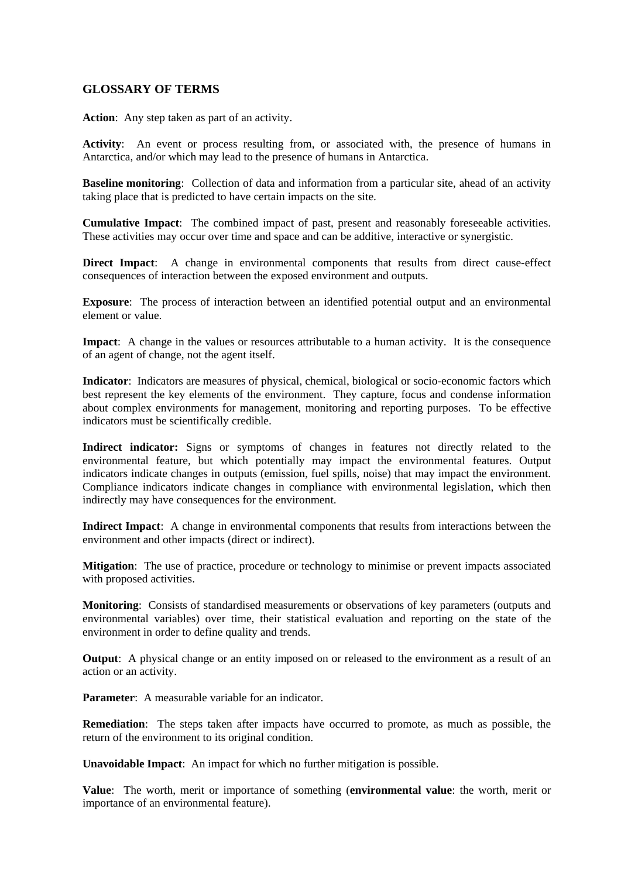#### **GLOSSARY OF TERMS**

**Action**: Any step taken as part of an activity.

Activity: An event or process resulting from, or associated with, the presence of humans in Antarctica, and/or which may lead to the presence of humans in Antarctica.

**Baseline monitoring**: Collection of data and information from a particular site, ahead of an activity taking place that is predicted to have certain impacts on the site.

**Cumulative Impact**: The combined impact of past, present and reasonably foreseeable activities. These activities may occur over time and space and can be additive, interactive or synergistic.

**Direct Impact**: A change in environmental components that results from direct cause-effect consequences of interaction between the exposed environment and outputs.

**Exposure**: The process of interaction between an identified potential output and an environmental element or value.

**Impact**: A change in the values or resources attributable to a human activity. It is the consequence of an agent of change, not the agent itself.

**Indicator**: Indicators are measures of physical, chemical, biological or socio-economic factors which best represent the key elements of the environment. They capture, focus and condense information about complex environments for management, monitoring and reporting purposes. To be effective indicators must be scientifically credible.

**Indirect indicator:** Signs or symptoms of changes in features not directly related to the environmental feature, but which potentially may impact the environmental features. Output indicators indicate changes in outputs (emission, fuel spills, noise) that may impact the environment. Compliance indicators indicate changes in compliance with environmental legislation, which then indirectly may have consequences for the environment.

**Indirect Impact**: A change in environmental components that results from interactions between the environment and other impacts (direct or indirect).

**Mitigation**: The use of practice, procedure or technology to minimise or prevent impacts associated with proposed activities.

**Monitoring**: Consists of standardised measurements or observations of key parameters (outputs and environmental variables) over time, their statistical evaluation and reporting on the state of the environment in order to define quality and trends.

**Output:** A physical change or an entity imposed on or released to the environment as a result of an action or an activity.

**Parameter**: A measurable variable for an indicator.

**Remediation**: The steps taken after impacts have occurred to promote, as much as possible, the return of the environment to its original condition.

**Unavoidable Impact**: An impact for which no further mitigation is possible.

**Value**: The worth, merit or importance of something (**environmental value**: the worth, merit or importance of an environmental feature).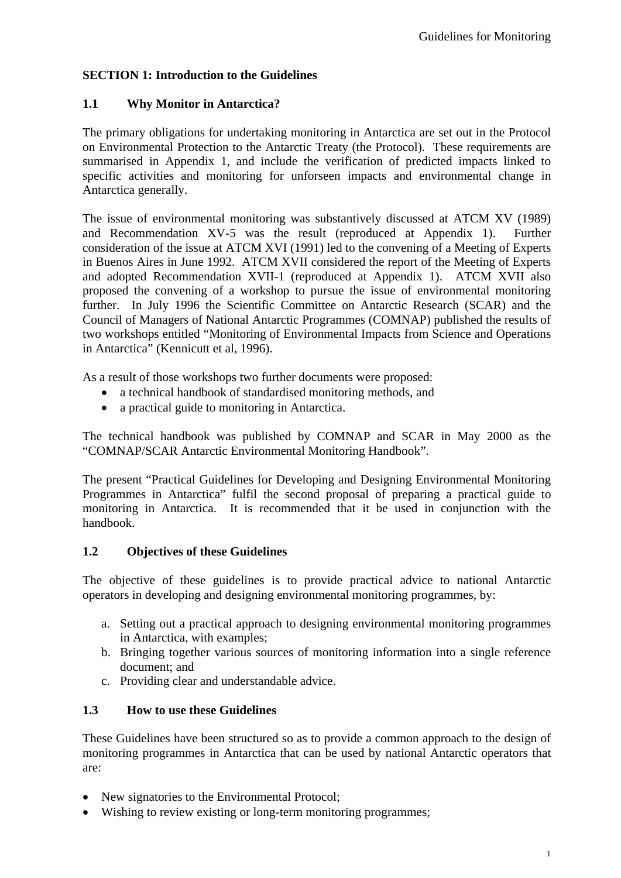## **SECTION 1: Introduction to the Guidelines**

## **1.1 Why Monitor in Antarctica?**

The primary obligations for undertaking monitoring in Antarctica are set out in the Protocol on Environmental Protection to the Antarctic Treaty (the Protocol). These requirements are summarised in Appendix 1, and include the verification of predicted impacts linked to specific activities and monitoring for unforseen impacts and environmental change in Antarctica generally.

The issue of environmental monitoring was substantively discussed at ATCM XV (1989) and Recommendation XV-5 was the result (reproduced at Appendix 1). Further consideration of the issue at ATCM XVI (1991) led to the convening of a Meeting of Experts in Buenos Aires in June 1992. ATCM XVII considered the report of the Meeting of Experts and adopted Recommendation XVII-1 (reproduced at Appendix 1). ATCM XVII also proposed the convening of a workshop to pursue the issue of environmental monitoring further. In July 1996 the Scientific Committee on Antarctic Research (SCAR) and the Council of Managers of National Antarctic Programmes (COMNAP) published the results of two workshops entitled "Monitoring of Environmental Impacts from Science and Operations in Antarctica" (Kennicutt et al, 1996).

As a result of those workshops two further documents were proposed:

- a technical handbook of standardised monitoring methods, and
- a practical guide to monitoring in Antarctica.

The technical handbook was published by COMNAP and SCAR in May 2000 as the "COMNAP/SCAR Antarctic Environmental Monitoring Handbook".

The present "Practical Guidelines for Developing and Designing Environmental Monitoring Programmes in Antarctica" fulfil the second proposal of preparing a practical guide to monitoring in Antarctica. It is recommended that it be used in conjunction with the handbook.

## **1.2 Objectives of these Guidelines**

The objective of these guidelines is to provide practical advice to national Antarctic operators in developing and designing environmental monitoring programmes, by:

- a. Setting out a practical approach to designing environmental monitoring programmes in Antarctica, with examples;
- b. Bringing together various sources of monitoring information into a single reference document; and
- c. Providing clear and understandable advice.

## **1.3 How to use these Guidelines**

These Guidelines have been structured so as to provide a common approach to the design of monitoring programmes in Antarctica that can be used by national Antarctic operators that are:

- New signatories to the Environmental Protocol;
- Wishing to review existing or long-term monitoring programmes;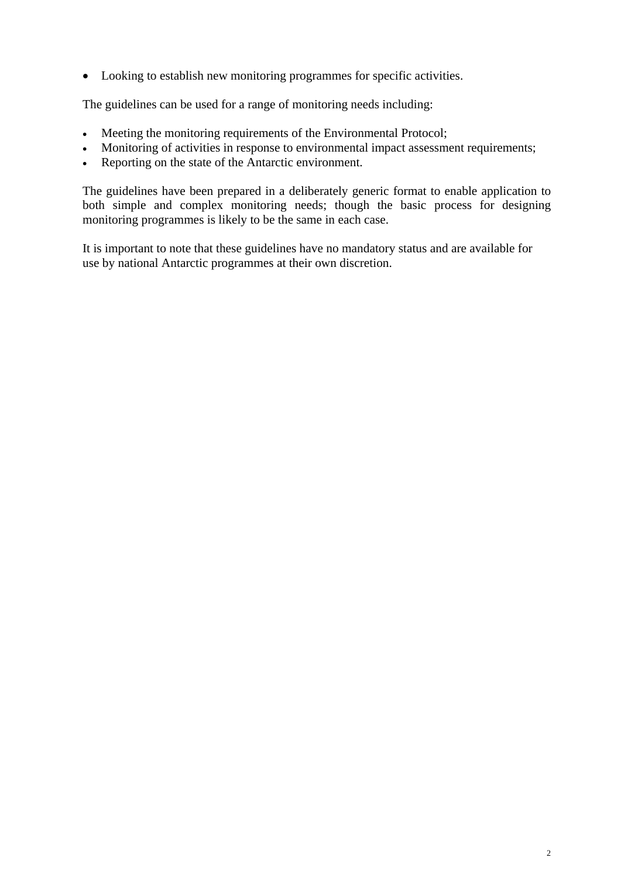• Looking to establish new monitoring programmes for specific activities.

The guidelines can be used for a range of monitoring needs including:

- Meeting the monitoring requirements of the Environmental Protocol;
- Monitoring of activities in response to environmental impact assessment requirements;
- Reporting on the state of the Antarctic environment.

The guidelines have been prepared in a deliberately generic format to enable application to both simple and complex monitoring needs; though the basic process for designing monitoring programmes is likely to be the same in each case.

It is important to note that these guidelines have no mandatory status and are available for use by national Antarctic programmes at their own discretion.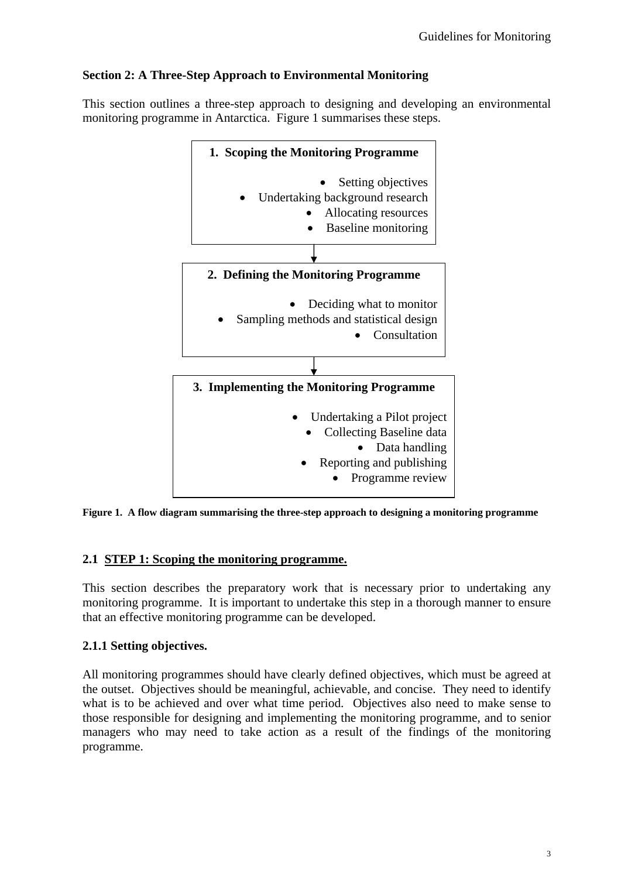## **Section 2: A Three-Step Approach to Environmental Monitoring**

This section outlines a three-step approach to designing and developing an environmental monitoring programme in Antarctica. Figure 1 summarises these steps.



**Figure 1. A flow diagram summarising the three-step approach to designing a monitoring programme** 

## **2.1 STEP 1: Scoping the monitoring programme.**

This section describes the preparatory work that is necessary prior to undertaking any monitoring programme. It is important to undertake this step in a thorough manner to ensure that an effective monitoring programme can be developed.

## **2.1.1 Setting objectives.**

All monitoring programmes should have clearly defined objectives, which must be agreed at the outset. Objectives should be meaningful, achievable, and concise. They need to identify what is to be achieved and over what time period. Objectives also need to make sense to those responsible for designing and implementing the monitoring programme, and to senior managers who may need to take action as a result of the findings of the monitoring programme.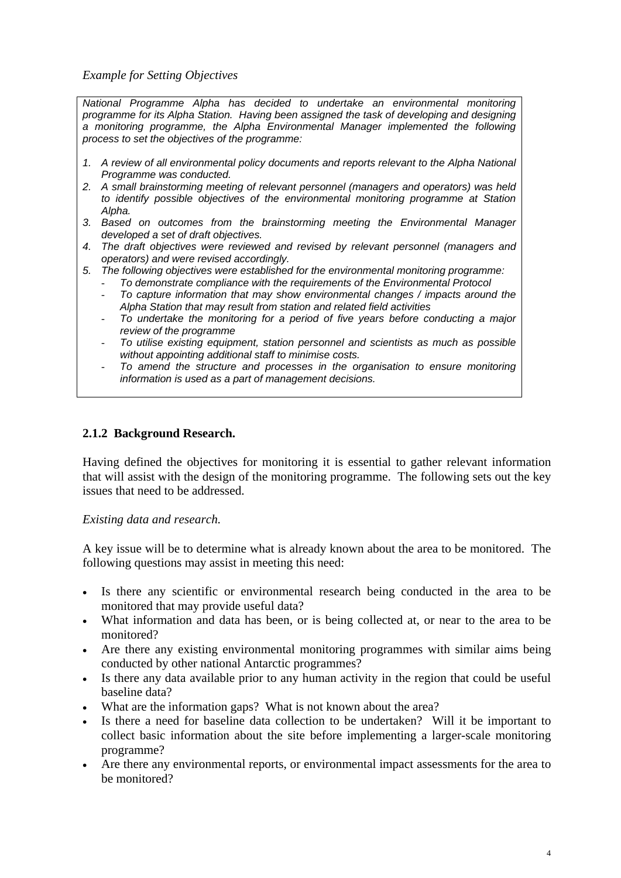*Example for Setting Objectives* 

*National Programme Alpha has decided to undertake an environmental monitoring programme for its Alpha Station. Having been assigned the task of developing and designing a monitoring programme, the Alpha Environmental Manager implemented the following process to set the objectives of the programme:* 

- *1. A review of all environmental policy documents and reports relevant to the Alpha National Programme was conducted.*
- *2. A small brainstorming meeting of relevant personnel (managers and operators) was held to identify possible objectives of the environmental monitoring programme at Station Alpha.*
- *3. Based on outcomes from the brainstorming meeting the Environmental Manager developed a set of draft objectives.*
- *4. The draft objectives were reviewed and revised by relevant personnel (managers and operators) and were revised accordingly.*
- *5. The following objectives were established for the environmental monitoring programme:* 
	- *To demonstrate compliance with the requirements of the Environmental Protocol*
	- *To capture information that may show environmental changes / impacts around the Alpha Station that may result from station and related field activities*
	- *To undertake the monitoring for a period of five years before conducting a major review of the programme*
	- *To utilise existing equipment, station personnel and scientists as much as possible without appointing additional staff to minimise costs.*
	- *To amend the structure and processes in the organisation to ensure monitoring information is used as a part of management decisions.*

### **2.1.2 Background Research.**

Having defined the objectives for monitoring it is essential to gather relevant information that will assist with the design of the monitoring programme. The following sets out the key issues that need to be addressed.

*Existing data and research.* 

A key issue will be to determine what is already known about the area to be monitored. The following questions may assist in meeting this need:

- Is there any scientific or environmental research being conducted in the area to be monitored that may provide useful data?
- What information and data has been, or is being collected at, or near to the area to be monitored?
- Are there any existing environmental monitoring programmes with similar aims being conducted by other national Antarctic programmes?
- Is there any data available prior to any human activity in the region that could be useful baseline data?
- What are the information gaps? What is not known about the area?
- Is there a need for baseline data collection to be undertaken? Will it be important to collect basic information about the site before implementing a larger-scale monitoring programme?
- Are there any environmental reports, or environmental impact assessments for the area to be monitored?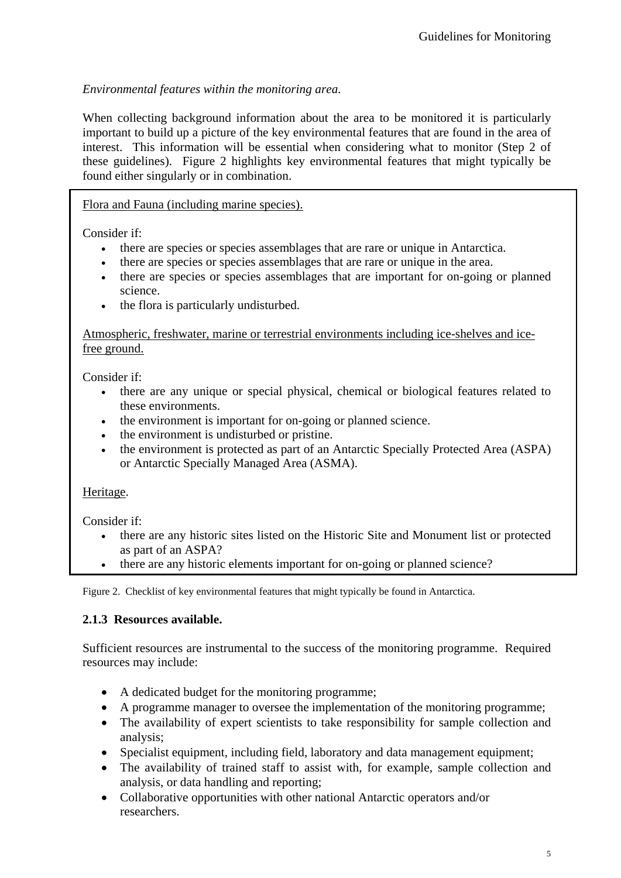*Environmental features within the monitoring area.*

When collecting background information about the area to be monitored it is particularly important to build up a picture of the key environmental features that are found in the area of interest. This information will be essential when considering what to monitor (Step 2 of these guidelines). Figure 2 highlights key environmental features that might typically be found either singularly or in combination.

#### Flora and Fauna (including marine species).

Consider if:

- there are species or species assemblages that are rare or unique in Antarctica.
- there are species or species assemblages that are rare or unique in the area.
- there are species or species assemblages that are important for on-going or planned science.
- the flora is particularly undisturbed.

Atmospheric, freshwater, marine or terrestrial environments including ice-shelves and icefree ground.

Consider if:

- there are any unique or special physical, chemical or biological features related to these environments.
- the environment is important for on-going or planned science.
- the environment is undisturbed or pristine.
- the environment is protected as part of an Antarctic Specially Protected Area (ASPA) or Antarctic Specially Managed Area (ASMA).

#### Heritage.

Consider if:

- there are any historic sites listed on the Historic Site and Monument list or protected as part of an ASPA?
- there are any historic elements important for on-going or planned science?

Figure 2. Checklist of key environmental features that might typically be found in Antarctica.

#### **2.1.3 Resources available.**

Sufficient resources are instrumental to the success of the monitoring programme. Required resources may include:

- A dedicated budget for the monitoring programme;
- A programme manager to oversee the implementation of the monitoring programme;
- The availability of expert scientists to take responsibility for sample collection and analysis;
- Specialist equipment, including field, laboratory and data management equipment;
- The availability of trained staff to assist with, for example, sample collection and analysis, or data handling and reporting;
- Collaborative opportunities with other national Antarctic operators and/or researchers.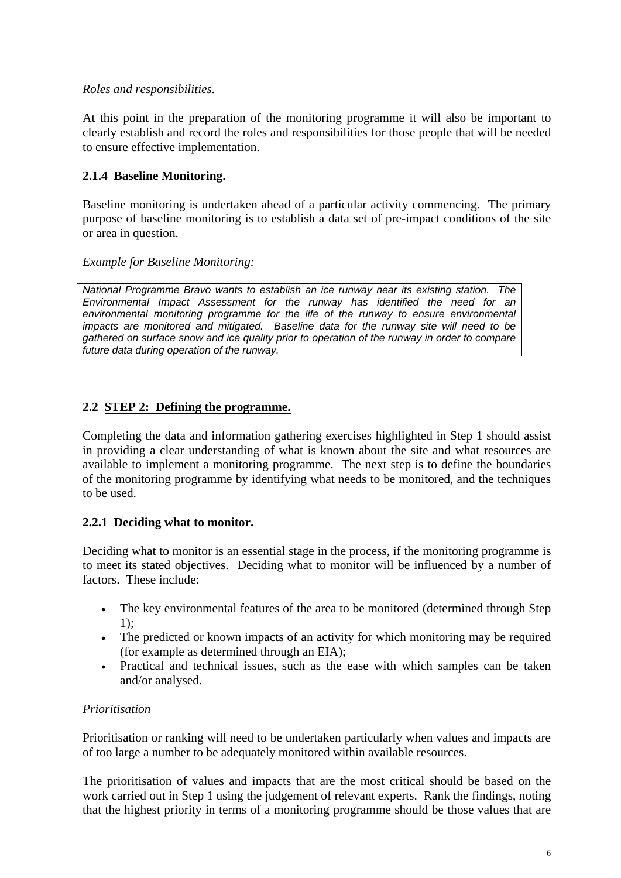## *Roles and responsibilities.*

At this point in the preparation of the monitoring programme it will also be important to clearly establish and record the roles and responsibilities for those people that will be needed to ensure effective implementation.

## **2.1.4 Baseline Monitoring.**

Baseline monitoring is undertaken ahead of a particular activity commencing. The primary purpose of baseline monitoring is to establish a data set of pre-impact conditions of the site or area in question.

*Example for Baseline Monitoring:* 

*National Programme Bravo wants to establish an ice runway near its existing station. The Environmental Impact Assessment for the runway has identified the need for an environmental monitoring programme for the life of the runway to ensure environmental impacts are monitored and mitigated. Baseline data for the runway site will need to be gathered on surface snow and ice quality prior to operation of the runway in order to compare future data during operation of the runway.* 

### **2.2 STEP 2: Defining the programme.**

Completing the data and information gathering exercises highlighted in Step 1 should assist in providing a clear understanding of what is known about the site and what resources are available to implement a monitoring programme. The next step is to define the boundaries of the monitoring programme by identifying what needs to be monitored, and the techniques to be used.

#### **2.2.1 Deciding what to monitor.**

Deciding what to monitor is an essential stage in the process, if the monitoring programme is to meet its stated objectives. Deciding what to monitor will be influenced by a number of factors. These include:

- The key environmental features of the area to be monitored (determined through Step 1);
- The predicted or known impacts of an activity for which monitoring may be required (for example as determined through an EIA);
- Practical and technical issues, such as the ease with which samples can be taken and/or analysed.

## *Prioritisation*

Prioritisation or ranking will need to be undertaken particularly when values and impacts are of too large a number to be adequately monitored within available resources.

The prioritisation of values and impacts that are the most critical should be based on the work carried out in Step 1 using the judgement of relevant experts. Rank the findings, noting that the highest priority in terms of a monitoring programme should be those values that are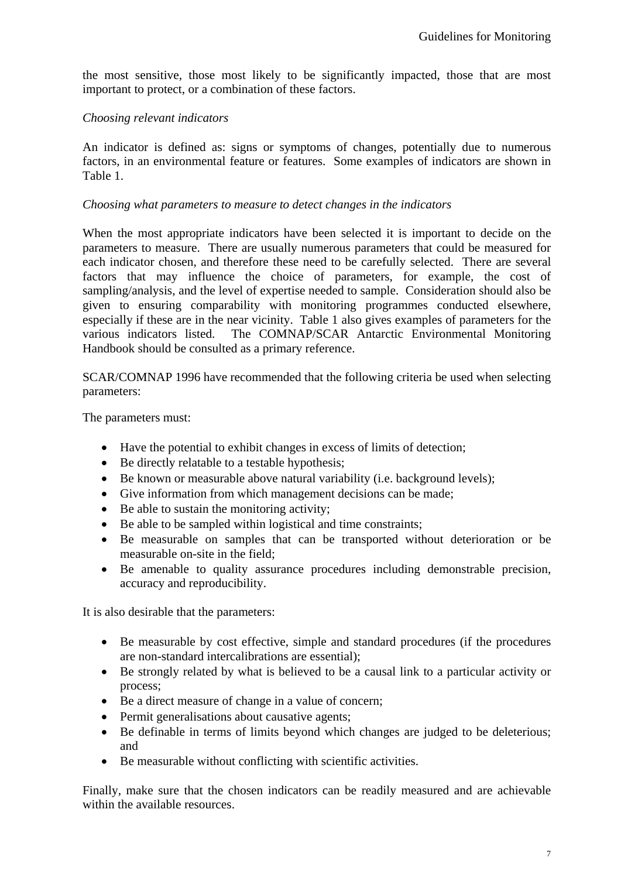the most sensitive, those most likely to be significantly impacted, those that are most important to protect, or a combination of these factors.

#### *Choosing relevant indicators*

An indicator is defined as: signs or symptoms of changes, potentially due to numerous factors, in an environmental feature or features. Some examples of indicators are shown in Table 1.

#### *Choosing what parameters to measure to detect changes in the indicators*

When the most appropriate indicators have been selected it is important to decide on the parameters to measure. There are usually numerous parameters that could be measured for each indicator chosen, and therefore these need to be carefully selected. There are several factors that may influence the choice of parameters, for example, the cost of sampling/analysis, and the level of expertise needed to sample. Consideration should also be given to ensuring comparability with monitoring programmes conducted elsewhere, especially if these are in the near vicinity. Table 1 also gives examples of parameters for the various indicators listed. The COMNAP/SCAR Antarctic Environmental Monitoring Handbook should be consulted as a primary reference.

SCAR/COMNAP 1996 have recommended that the following criteria be used when selecting parameters:

The parameters must:

- Have the potential to exhibit changes in excess of limits of detection;
- Be directly relatable to a testable hypothesis:
- Be known or measurable above natural variability (i.e. background levels);
- Give information from which management decisions can be made;
- Be able to sustain the monitoring activity;
- Be able to be sampled within logistical and time constraints;
- Be measurable on samples that can be transported without deterioration or be measurable on-site in the field;
- Be amenable to quality assurance procedures including demonstrable precision, accuracy and reproducibility.

It is also desirable that the parameters:

- Be measurable by cost effective, simple and standard procedures (if the procedures are non-standard intercalibrations are essential);
- Be strongly related by what is believed to be a causal link to a particular activity or process;
- Be a direct measure of change in a value of concern;
- Permit generalisations about causative agents;
- Be definable in terms of limits beyond which changes are judged to be deleterious; and
- Be measurable without conflicting with scientific activities.

Finally, make sure that the chosen indicators can be readily measured and are achievable within the available resources.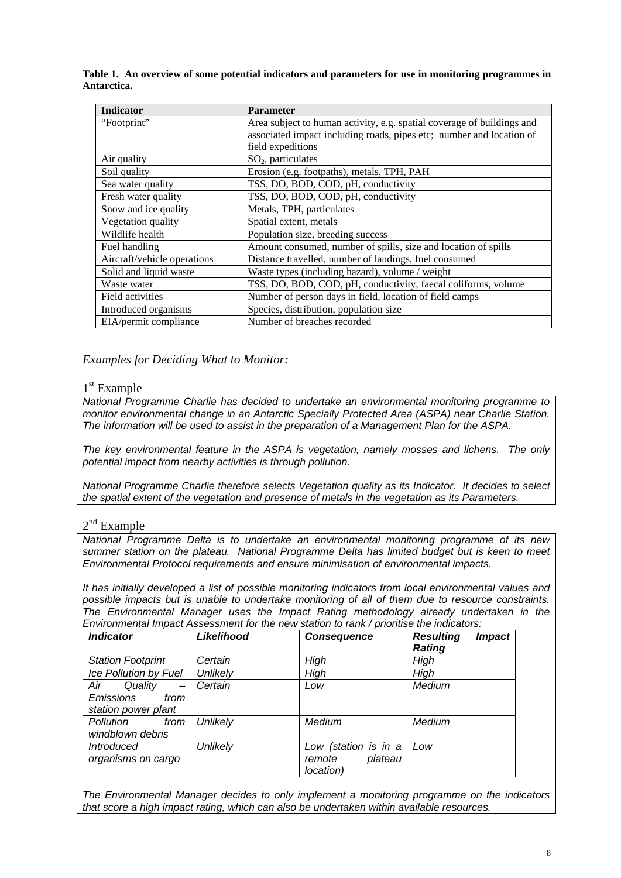|             |  |  | Table 1. An overview of some potential indicators and parameters for use in monitoring programmes in |  |
|-------------|--|--|------------------------------------------------------------------------------------------------------|--|
| Antarctica. |  |  |                                                                                                      |  |

| <b>Indicator</b>            | <b>Parameter</b>                                                       |
|-----------------------------|------------------------------------------------------------------------|
| "Footprint"                 | Area subject to human activity, e.g. spatial coverage of buildings and |
|                             | associated impact including roads, pipes etc; number and location of   |
|                             | field expeditions                                                      |
| Air quality                 | $SO2$ , particulates                                                   |
| Soil quality                | Erosion (e.g. footpaths), metals, TPH, PAH                             |
| Sea water quality           | TSS, DO, BOD, COD, pH, conductivity                                    |
| Fresh water quality         | TSS, DO, BOD, COD, pH, conductivity                                    |
| Snow and ice quality        | Metals, TPH, particulates                                              |
| Vegetation quality          | Spatial extent, metals                                                 |
| Wildlife health             | Population size, breeding success                                      |
| Fuel handling               | Amount consumed, number of spills, size and location of spills         |
| Aircraft/vehicle operations | Distance travelled, number of landings, fuel consumed                  |
| Solid and liquid waste      | Waste types (including hazard), volume / weight                        |
| Waste water                 | TSS, DO, BOD, COD, pH, conductivity, faecal coliforms, volume          |
| Field activities            | Number of person days in field, location of field camps                |
| Introduced organisms        | Species, distribution, population size                                 |
| EIA/permit compliance       | Number of breaches recorded                                            |

#### *Examples for Deciding What to Monitor:*

#### 1<sup>st</sup> Example

*National Programme Charlie has decided to undertake an environmental monitoring programme to monitor environmental change in an Antarctic Specially Protected Area (ASPA) near Charlie Station. The information will be used to assist in the preparation of a Management Plan for the ASPA.* 

*The key environmental feature in the ASPA is vegetation, namely mosses and lichens. The only potential impact from nearby activities is through pollution.* 

*National Programme Charlie therefore selects Vegetation quality as its Indicator. It decides to select the spatial extent of the vegetation and presence of metals in the vegetation as its Parameters.* 

## $2<sup>nd</sup>$  Example

*National Programme Delta is to undertake an environmental monitoring programme of its new summer station on the plateau. National Programme Delta has limited budget but is keen to meet Environmental Protocol requirements and ensure minimisation of environmental impacts.* 

*It has initially developed a list of possible monitoring indicators from local environmental values and possible impacts but is unable to undertake monitoring of all of them due to resource constraints. The Environmental Manager uses the Impact Rating methodology already undertaken in the Environmental Impact Assessment for the new station to rank / prioritise the indicators:* 

| <b>Indicator</b>                                           | Likelihood | <b>Consequence</b>                                     | <b>Resulting</b><br><i><b>Impact</b></i><br>Rating |
|------------------------------------------------------------|------------|--------------------------------------------------------|----------------------------------------------------|
| <b>Station Footprint</b>                                   | Certain    | High                                                   | High                                               |
| Ice Pollution by Fuel                                      | Unlikely   | High                                                   | High                                               |
| Air<br>Quality<br>Emissions<br>from<br>station power plant | Certain    | Low                                                    | Medium                                             |
| Pollution<br>from<br>windblown debris                      | Unlikely   | Medium                                                 | Medium                                             |
| <i><b>Introduced</b></i><br>organisms on cargo             | Unlikely   | Low (station is in a<br>plateau<br>remote<br>location) | Low                                                |

*The Environmental Manager decides to only implement a monitoring programme on the indicators that score a high impact rating, which can also be undertaken within available resources.*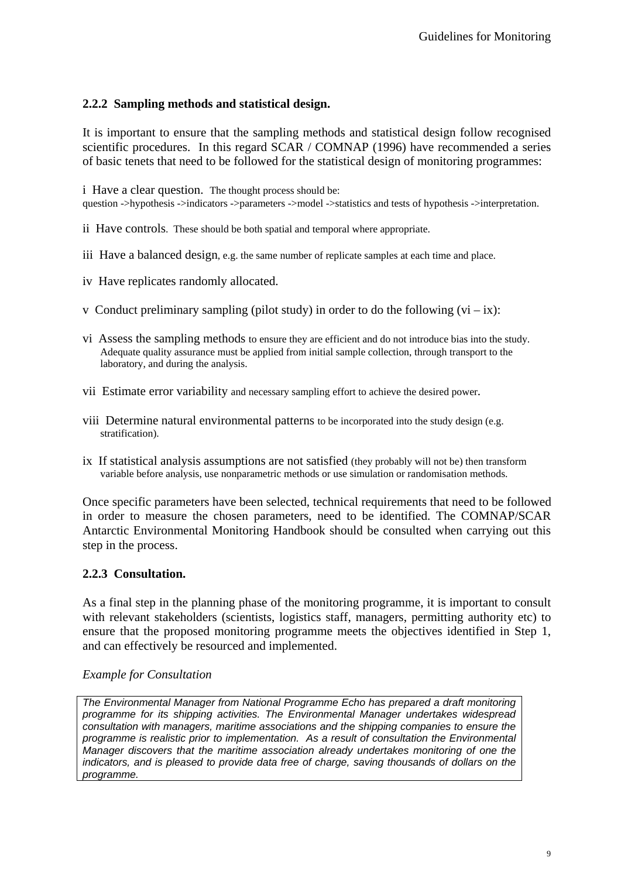## **2.2.2 Sampling methods and statistical design.**

It is important to ensure that the sampling methods and statistical design follow recognised scientific procedures. In this regard SCAR / COMNAP (1996) have recommended a series of basic tenets that need to be followed for the statistical design of monitoring programmes:

i Have a clear question. The thought process should be: question ->hypothesis ->indicators ->parameters ->model ->statistics and tests of hypothesis ->interpretation.

- ii Have controls. These should be both spatial and temporal where appropriate.
- iii Have a balanced design, e.g. the same number of replicate samples at each time and place.
- iv Have replicates randomly allocated.
- v Conduct preliminary sampling (pilot study) in order to do the following  $(vi ix)$ :
- vi Assess the sampling methods to ensure they are efficient and do not introduce bias into the study. Adequate quality assurance must be applied from initial sample collection, through transport to the laboratory, and during the analysis.
- vii Estimate error variability and necessary sampling effort to achieve the desired power.
- viii Determine natural environmental patterns to be incorporated into the study design (e.g. stratification).
- ix If statistical analysis assumptions are not satisfied (they probably will not be) then transform variable before analysis, use nonparametric methods or use simulation or randomisation methods.

Once specific parameters have been selected, technical requirements that need to be followed in order to measure the chosen parameters, need to be identified. The COMNAP/SCAR Antarctic Environmental Monitoring Handbook should be consulted when carrying out this step in the process.

#### **2.2.3 Consultation.**

As a final step in the planning phase of the monitoring programme, it is important to consult with relevant stakeholders (scientists, logistics staff, managers, permitting authority etc) to ensure that the proposed monitoring programme meets the objectives identified in Step 1, and can effectively be resourced and implemented.

#### *Example for Consultation*

*The Environmental Manager from National Programme Echo has prepared a draft monitoring programme for its shipping activities. The Environmental Manager undertakes widespread consultation with managers, maritime associations and the shipping companies to ensure the programme is realistic prior to implementation. As a result of consultation the Environmental Manager discovers that the maritime association already undertakes monitoring of one the indicators, and is pleased to provide data free of charge, saving thousands of dollars on the programme.*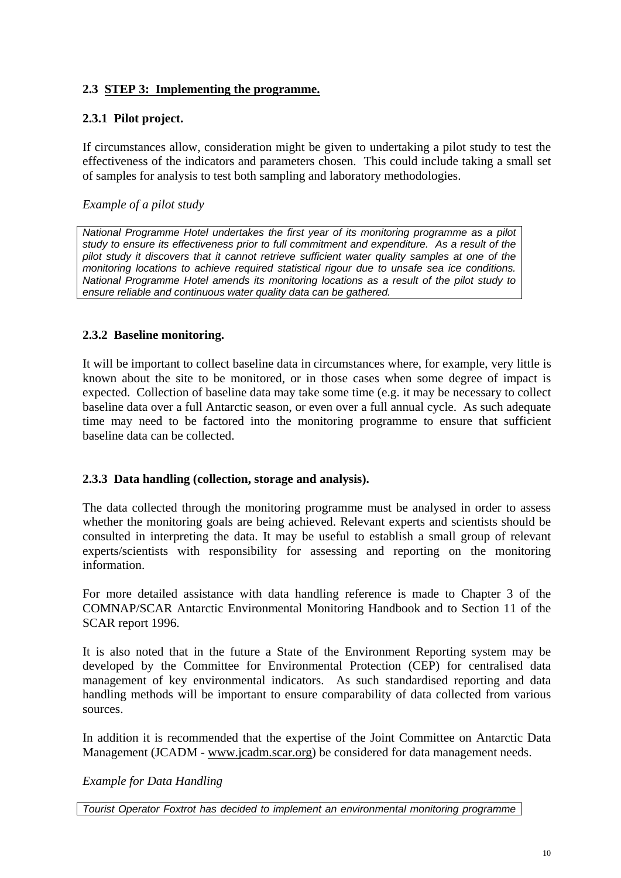## **2.3 STEP 3: Implementing the programme.**

## **2.3.1 Pilot project.**

If circumstances allow, consideration might be given to undertaking a pilot study to test the effectiveness of the indicators and parameters chosen. This could include taking a small set of samples for analysis to test both sampling and laboratory methodologies.

## *Example of a pilot study*

*National Programme Hotel undertakes the first year of its monitoring programme as a pilot study to ensure its effectiveness prior to full commitment and expenditure. As a result of the pilot study it discovers that it cannot retrieve sufficient water quality samples at one of the monitoring locations to achieve required statistical rigour due to unsafe sea ice conditions. National Programme Hotel amends its monitoring locations as a result of the pilot study to ensure reliable and continuous water quality data can be gathered.* 

## **2.3.2 Baseline monitoring.**

It will be important to collect baseline data in circumstances where, for example, very little is known about the site to be monitored, or in those cases when some degree of impact is expected. Collection of baseline data may take some time (e.g. it may be necessary to collect baseline data over a full Antarctic season, or even over a full annual cycle. As such adequate time may need to be factored into the monitoring programme to ensure that sufficient baseline data can be collected.

## **2.3.3 Data handling (collection, storage and analysis).**

The data collected through the monitoring programme must be analysed in order to assess whether the monitoring goals are being achieved. Relevant experts and scientists should be consulted in interpreting the data. It may be useful to establish a small group of relevant experts/scientists with responsibility for assessing and reporting on the monitoring information.

For more detailed assistance with data handling reference is made to Chapter 3 of the COMNAP/SCAR Antarctic Environmental Monitoring Handbook and to Section 11 of the SCAR report 1996.

It is also noted that in the future a State of the Environment Reporting system may be developed by the Committee for Environmental Protection (CEP) for centralised data management of key environmental indicators. As such standardised reporting and data handling methods will be important to ensure comparability of data collected from various sources.

In addition it is recommended that the expertise of the Joint Committee on Antarctic Data Management (JCADM - [www.jcadm.scar.org](http://www.jcadm.scar.org/)) be considered for data management needs.

## *Example for Data Handling*

*Tourist Operator Foxtrot has decided to implement an environmental monitoring programme*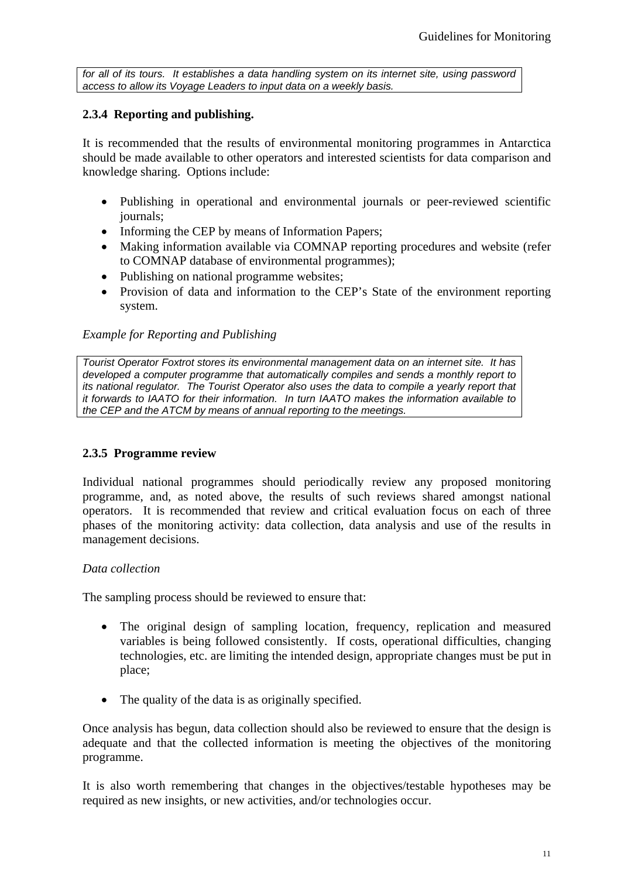*for all of its tours. It establishes a data handling system on its internet site, using password access to allow its Voyage Leaders to input data on a weekly basis.* 

## **2.3.4 Reporting and publishing.**

It is recommended that the results of environmental monitoring programmes in Antarctica should be made available to other operators and interested scientists for data comparison and knowledge sharing. Options include:

- Publishing in operational and environmental journals or peer-reviewed scientific journals;
- Informing the CEP by means of Information Papers;
- Making information available via COMNAP reporting procedures and website (refer to COMNAP database of environmental programmes);
- Publishing on national programme websites;
- Provision of data and information to the CEP's State of the environment reporting system.

### *Example for Reporting and Publishing*

*Tourist Operator Foxtrot stores its environmental management data on an internet site. It has developed a computer programme that automatically compiles and sends a monthly report to its national regulator. The Tourist Operator also uses the data to compile a yearly report that it forwards to IAATO for their information. In turn IAATO makes the information available to the CEP and the ATCM by means of annual reporting to the meetings.* 

## **2.3.5 Programme review**

Individual national programmes should periodically review any proposed monitoring programme, and, as noted above, the results of such reviews shared amongst national operators. It is recommended that review and critical evaluation focus on each of three phases of the monitoring activity: data collection, data analysis and use of the results in management decisions.

#### *Data collection*

The sampling process should be reviewed to ensure that:

- The original design of sampling location, frequency, replication and measured variables is being followed consistently. If costs, operational difficulties, changing technologies, etc. are limiting the intended design, appropriate changes must be put in place;
- The quality of the data is as originally specified.

Once analysis has begun, data collection should also be reviewed to ensure that the design is adequate and that the collected information is meeting the objectives of the monitoring programme.

It is also worth remembering that changes in the objectives/testable hypotheses may be required as new insights, or new activities, and/or technologies occur.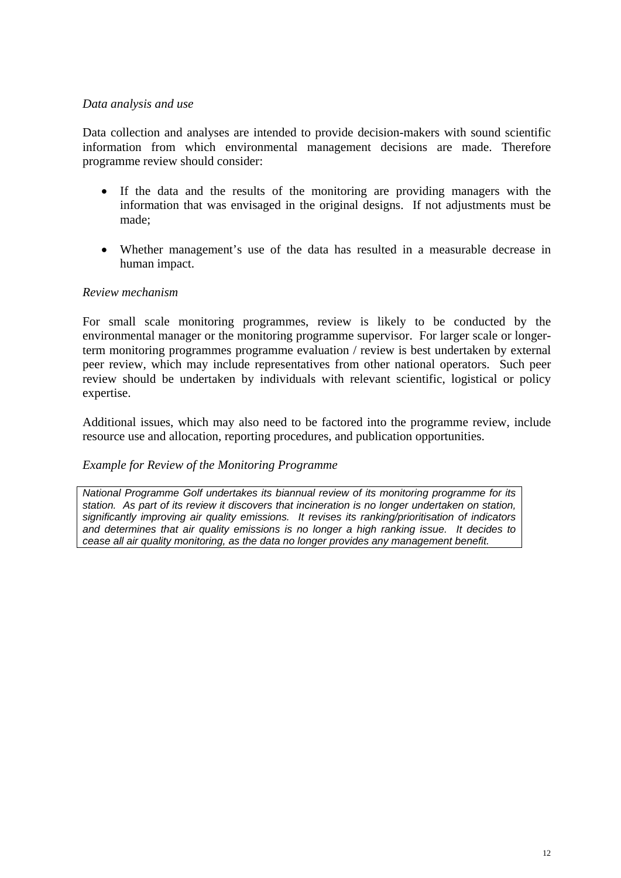#### *Data analysis and use*

Data collection and analyses are intended to provide decision-makers with sound scientific information from which environmental management decisions are made. Therefore programme review should consider:

- If the data and the results of the monitoring are providing managers with the information that was envisaged in the original designs. If not adjustments must be made;
- Whether management's use of the data has resulted in a measurable decrease in human impact.

### *Review mechanism*

For small scale monitoring programmes, review is likely to be conducted by the environmental manager or the monitoring programme supervisor. For larger scale or longerterm monitoring programmes programme evaluation / review is best undertaken by external peer review, which may include representatives from other national operators. Such peer review should be undertaken by individuals with relevant scientific, logistical or policy expertise.

Additional issues, which may also need to be factored into the programme review, include resource use and allocation, reporting procedures, and publication opportunities.

## *Example for Review of the Monitoring Programme*

*National Programme Golf undertakes its biannual review of its monitoring programme for its station. As part of its review it discovers that incineration is no longer undertaken on station, significantly improving air quality emissions. It revises its ranking/prioritisation of indicators and determines that air quality emissions is no longer a high ranking issue. It decides to cease all air quality monitoring, as the data no longer provides any management benefit.*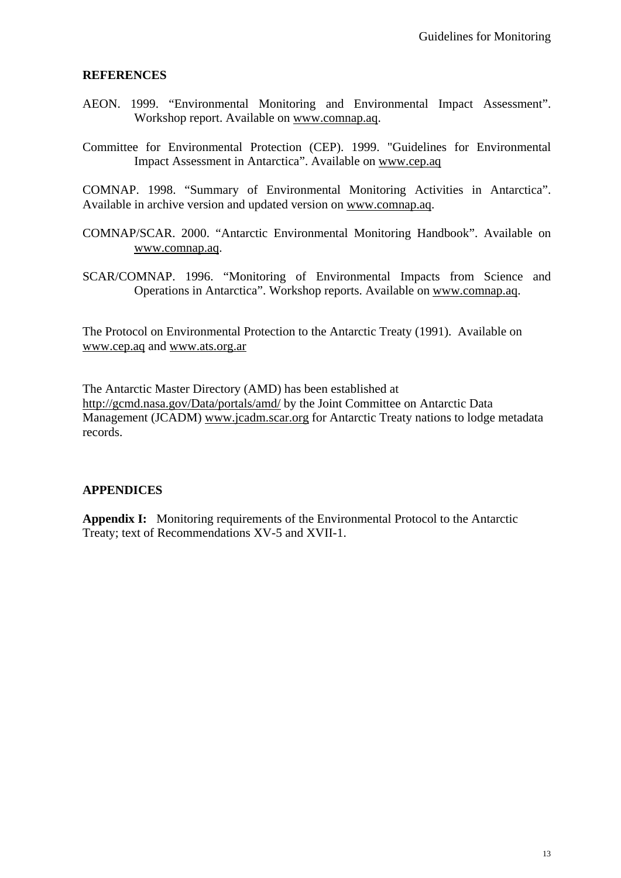#### **REFERENCES**

- AEON. 1999. "Environmental Monitoring and Environmental Impact Assessment". Workshop report. Available on [www.comnap.aq](http://www.comnap.aq/).
- Committee for Environmental Protection (CEP). 1999. "Guidelines for Environmental Impact Assessment in Antarctica". Available on [www.cep.aq](http://www.cep.aq/)

COMNAP. 1998. "Summary of Environmental Monitoring Activities in Antarctica". Available in archive version and updated version on [www.comnap.aq.](http://www.comnap.aq/)

- COMNAP/SCAR. 2000. "Antarctic Environmental Monitoring Handbook". Available on [www.comnap.aq](http://www.comnap.aq/).
- SCAR/COMNAP. 1996. "Monitoring of Environmental Impacts from Science and Operations in Antarctica". Workshop reports. Available on [www.comnap.aq](http://www.comnap.aq/).

The Protocol on Environmental Protection to the Antarctic Treaty (1991). Available on [www.cep.aq](http://www.cep.aq/) and [www.ats.org.ar](http://www.ats.org.ar/)

The Antarctic Master Directory (AMD) has been established at <http://gcmd.nasa.gov/Data/portals/amd/> by the Joint Committee on Antarctic Data Management (JCADM) [www.jcadm.scar.org](http://www.jcadm.scar.org/) for Antarctic Treaty nations to lodge metadata records.

#### **APPENDICES**

**Appendix I:** Monitoring requirements of the Environmental Protocol to the Antarctic Treaty; text of Recommendations XV-5 and XVII-1.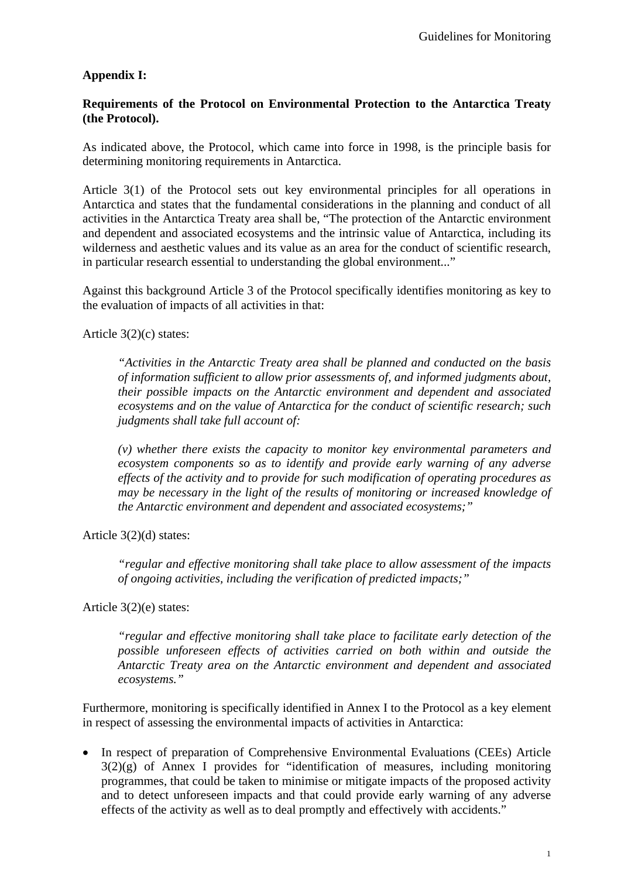## **Appendix I:**

## **Requirements of the Protocol on Environmental Protection to the Antarctica Treaty (the Protocol).**

As indicated above, the Protocol, which came into force in 1998, is the principle basis for determining monitoring requirements in Antarctica.

Article 3(1) of the Protocol sets out key environmental principles for all operations in Antarctica and states that the fundamental considerations in the planning and conduct of all activities in the Antarctica Treaty area shall be, "The protection of the Antarctic environment and dependent and associated ecosystems and the intrinsic value of Antarctica, including its wilderness and aesthetic values and its value as an area for the conduct of scientific research, in particular research essential to understanding the global environment..."

Against this background Article 3 of the Protocol specifically identifies monitoring as key to the evaluation of impacts of all activities in that:

Article 3(2)(c) states:

*"Activities in the Antarctic Treaty area shall be planned and conducted on the basis of information sufficient to allow prior assessments of, and informed judgments about, their possible impacts on the Antarctic environment and dependent and associated ecosystems and on the value of Antarctica for the conduct of scientific research; such judgments shall take full account of:* 

*(v) whether there exists the capacity to monitor key environmental parameters and ecosystem components so as to identify and provide early warning of any adverse effects of the activity and to provide for such modification of operating procedures as may be necessary in the light of the results of monitoring or increased knowledge of the Antarctic environment and dependent and associated ecosystems;"* 

Article 3(2)(d) states:

*"regular and effective monitoring shall take place to allow assessment of the impacts of ongoing activities, including the verification of predicted impacts;"* 

Article 3(2)(e) states:

*"regular and effective monitoring shall take place to facilitate early detection of the possible unforeseen effects of activities carried on both within and outside the Antarctic Treaty area on the Antarctic environment and dependent and associated ecosystems."* 

Furthermore, monitoring is specifically identified in Annex I to the Protocol as a key element in respect of assessing the environmental impacts of activities in Antarctica:

• In respect of preparation of Comprehensive Environmental Evaluations (CEEs) Article 3(2)(g) of Annex I provides for "identification of measures, including monitoring programmes, that could be taken to minimise or mitigate impacts of the proposed activity and to detect unforeseen impacts and that could provide early warning of any adverse effects of the activity as well as to deal promptly and effectively with accidents."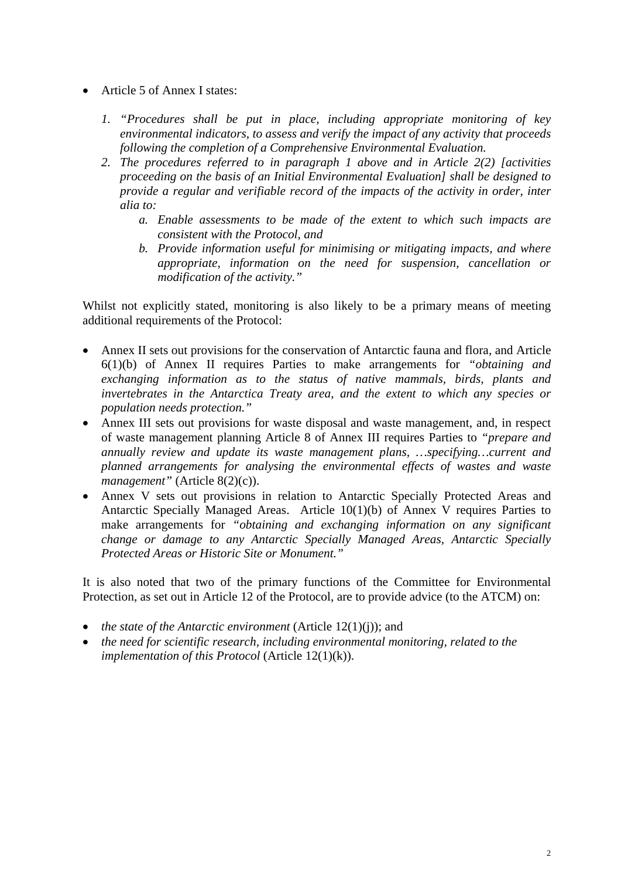- Article 5 of Annex I states:
	- *1. "Procedures shall be put in place, including appropriate monitoring of key environmental indicators, to assess and verify the impact of any activity that proceeds following the completion of a Comprehensive Environmental Evaluation.*
	- *2. The procedures referred to in paragraph 1 above and in Article 2(2) [activities proceeding on the basis of an Initial Environmental Evaluation] shall be designed to provide a regular and verifiable record of the impacts of the activity in order, inter alia to:* 
		- *a. Enable assessments to be made of the extent to which such impacts are consistent with the Protocol, and*
		- *b. Provide information useful for minimising or mitigating impacts, and where appropriate, information on the need for suspension, cancellation or modification of the activity."*

Whilst not explicitly stated, monitoring is also likely to be a primary means of meeting additional requirements of the Protocol:

- Annex II sets out provisions for the conservation of Antarctic fauna and flora, and Article 6(1)(b) of Annex II requires Parties to make arrangements for *"obtaining and exchanging information as to the status of native mammals, birds, plants and invertebrates in the Antarctica Treaty area, and the extent to which any species or population needs protection."*
- Annex III sets out provisions for waste disposal and waste management, and, in respect of waste management planning Article 8 of Annex III requires Parties to *"prepare and annually review and update its waste management plans, …specifying…current and planned arrangements for analysing the environmental effects of wastes and waste management"* (Article 8(2)(c)).
- Annex V sets out provisions in relation to Antarctic Specially Protected Areas and Antarctic Specially Managed Areas. Article 10(1)(b) of Annex V requires Parties to make arrangements for *"obtaining and exchanging information on any significant change or damage to any Antarctic Specially Managed Areas, Antarctic Specially Protected Areas or Historic Site or Monument."*

It is also noted that two of the primary functions of the Committee for Environmental Protection, as set out in Article 12 of the Protocol, are to provide advice (to the ATCM) on:

- *the state of the Antarctic environment* (Article 12(1)(j)); and
- *the need for scientific research, including environmental monitoring, related to the implementation of this Protocol* (Article 12(1)(k)).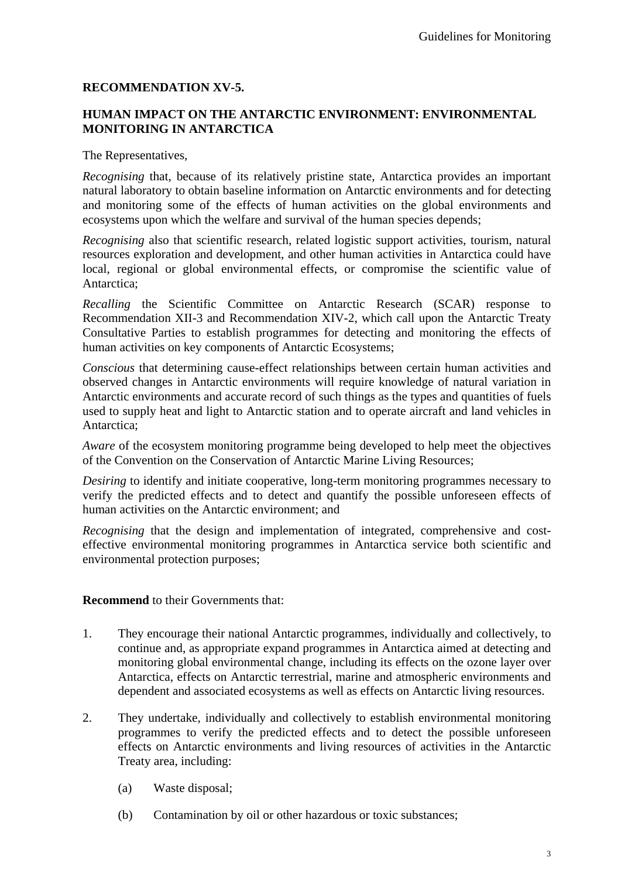### **RECOMMENDATION XV-5.**

## **HUMAN IMPACT ON THE ANTARCTIC ENVIRONMENT: ENVIRONMENTAL MONITORING IN ANTARCTICA**

The Representatives,

*Recognising* that, because of its relatively pristine state, Antarctica provides an important natural laboratory to obtain baseline information on Antarctic environments and for detecting and monitoring some of the effects of human activities on the global environments and ecosystems upon which the welfare and survival of the human species depends;

*Recognising* also that scientific research, related logistic support activities, tourism, natural resources exploration and development, and other human activities in Antarctica could have local, regional or global environmental effects, or compromise the scientific value of Antarctica;

*Recalling* the Scientific Committee on Antarctic Research (SCAR) response to Recommendation XII-3 and Recommendation XIV-2, which call upon the Antarctic Treaty Consultative Parties to establish programmes for detecting and monitoring the effects of human activities on key components of Antarctic Ecosystems;

*Conscious* that determining cause-effect relationships between certain human activities and observed changes in Antarctic environments will require knowledge of natural variation in Antarctic environments and accurate record of such things as the types and quantities of fuels used to supply heat and light to Antarctic station and to operate aircraft and land vehicles in Antarctica;

*Aware* of the ecosystem monitoring programme being developed to help meet the objectives of the Convention on the Conservation of Antarctic Marine Living Resources;

*Desiring* to identify and initiate cooperative, long-term monitoring programmes necessary to verify the predicted effects and to detect and quantify the possible unforeseen effects of human activities on the Antarctic environment; and

*Recognising* that the design and implementation of integrated, comprehensive and costeffective environmental monitoring programmes in Antarctica service both scientific and environmental protection purposes;

#### **Recommend** to their Governments that:

- 1. They encourage their national Antarctic programmes, individually and collectively, to continue and, as appropriate expand programmes in Antarctica aimed at detecting and monitoring global environmental change, including its effects on the ozone layer over Antarctica, effects on Antarctic terrestrial, marine and atmospheric environments and dependent and associated ecosystems as well as effects on Antarctic living resources.
- 2. They undertake, individually and collectively to establish environmental monitoring programmes to verify the predicted effects and to detect the possible unforeseen effects on Antarctic environments and living resources of activities in the Antarctic Treaty area, including:
	- (a) Waste disposal;
	- (b) Contamination by oil or other hazardous or toxic substances;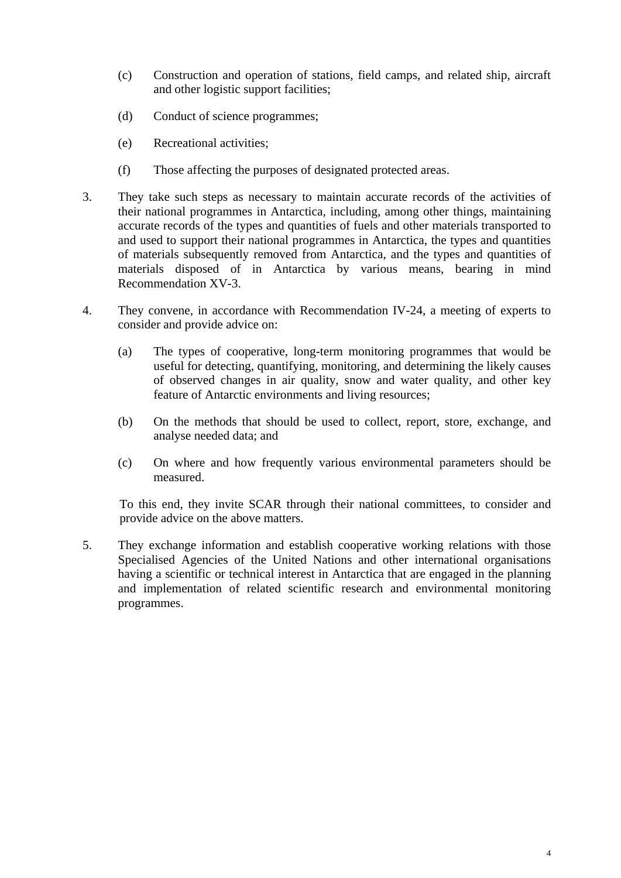- (c) Construction and operation of stations, field camps, and related ship, aircraft and other logistic support facilities;
- (d) Conduct of science programmes;
- (e) Recreational activities;
- (f) Those affecting the purposes of designated protected areas.
- 3. They take such steps as necessary to maintain accurate records of the activities of their national programmes in Antarctica, including, among other things, maintaining accurate records of the types and quantities of fuels and other materials transported to and used to support their national programmes in Antarctica, the types and quantities of materials subsequently removed from Antarctica, and the types and quantities of materials disposed of in Antarctica by various means, bearing in mind Recommendation XV-3.
- 4. They convene, in accordance with Recommendation IV-24, a meeting of experts to consider and provide advice on:
	- (a) The types of cooperative, long-term monitoring programmes that would be useful for detecting, quantifying, monitoring, and determining the likely causes of observed changes in air quality, snow and water quality, and other key feature of Antarctic environments and living resources;
	- (b) On the methods that should be used to collect, report, store, exchange, and analyse needed data; and
	- (c) On where and how frequently various environmental parameters should be measured.

To this end, they invite SCAR through their national committees, to consider and provide advice on the above matters.

5. They exchange information and establish cooperative working relations with those Specialised Agencies of the United Nations and other international organisations having a scientific or technical interest in Antarctica that are engaged in the planning and implementation of related scientific research and environmental monitoring programmes.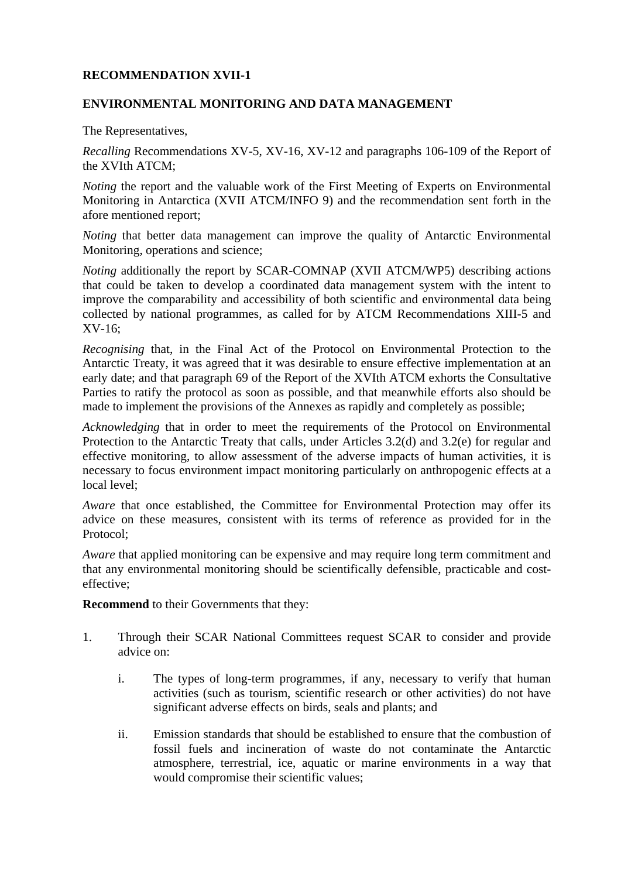## **RECOMMENDATION XVII-1**

#### **ENVIRONMENTAL MONITORING AND DATA MANAGEMENT**

The Representatives,

*Recalling* Recommendations XV-5, XV-16, XV-12 and paragraphs 106-109 of the Report of the XVIth ATCM;

*Noting* the report and the valuable work of the First Meeting of Experts on Environmental Monitoring in Antarctica (XVII ATCM/INFO 9) and the recommendation sent forth in the afore mentioned report;

*Noting* that better data management can improve the quality of Antarctic Environmental Monitoring, operations and science;

*Noting* additionally the report by SCAR-COMNAP (XVII ATCM/WP5) describing actions that could be taken to develop a coordinated data management system with the intent to improve the comparability and accessibility of both scientific and environmental data being collected by national programmes, as called for by ATCM Recommendations XIII-5 and XV-16;

*Recognising* that, in the Final Act of the Protocol on Environmental Protection to the Antarctic Treaty, it was agreed that it was desirable to ensure effective implementation at an early date; and that paragraph 69 of the Report of the XVIth ATCM exhorts the Consultative Parties to ratify the protocol as soon as possible, and that meanwhile efforts also should be made to implement the provisions of the Annexes as rapidly and completely as possible;

*Acknowledging* that in order to meet the requirements of the Protocol on Environmental Protection to the Antarctic Treaty that calls, under Articles 3.2(d) and 3.2(e) for regular and effective monitoring, to allow assessment of the adverse impacts of human activities, it is necessary to focus environment impact monitoring particularly on anthropogenic effects at a local level;

*Aware* that once established, the Committee for Environmental Protection may offer its advice on these measures, consistent with its terms of reference as provided for in the Protocol<sup>.</sup>

*Aware* that applied monitoring can be expensive and may require long term commitment and that any environmental monitoring should be scientifically defensible, practicable and costeffective;

**Recommend** to their Governments that they:

- 1. Through their SCAR National Committees request SCAR to consider and provide advice on:
	- i. The types of long-term programmes, if any, necessary to verify that human activities (such as tourism, scientific research or other activities) do not have significant adverse effects on birds, seals and plants; and
	- ii. Emission standards that should be established to ensure that the combustion of fossil fuels and incineration of waste do not contaminate the Antarctic atmosphere, terrestrial, ice, aquatic or marine environments in a way that would compromise their scientific values;